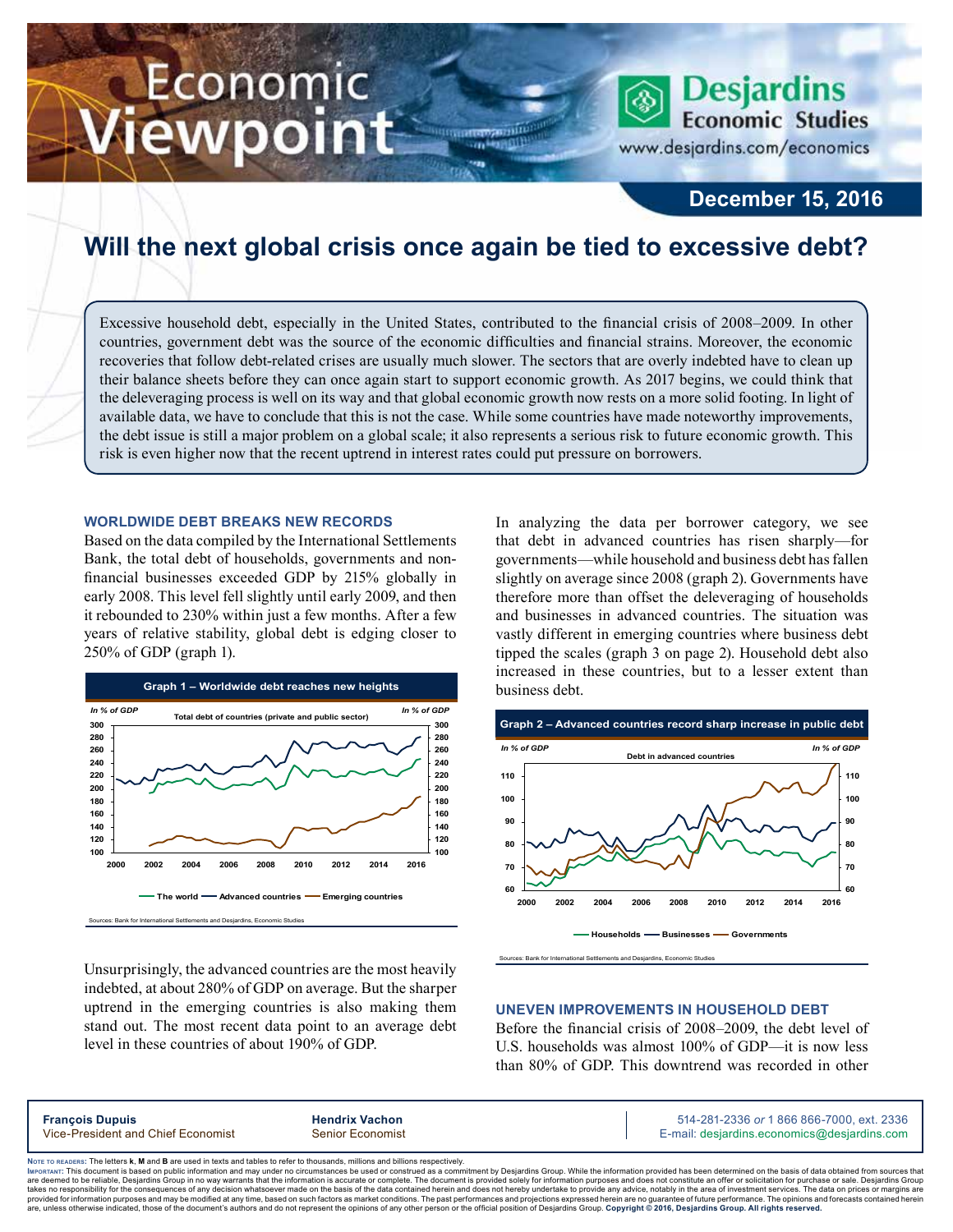# Economic iewpoint

www.desjardins.com/economics

**Desjardins Economic Studies** 

### **December 15, 2016**

## **Will the next global crisis once again be tied to excessive debt?**

m

Excessive household debt, especially in the United States, contributed to the financial crisis of 2008–2009. In other countries, government debt was the source of the economic difficulties and financial strains. Moreover, the economic recoveries that follow debt-related crises are usually much slower. The sectors that are overly indebted have to clean up their balance sheets before they can once again start to support economic growth. As 2017 begins, we could think that the deleveraging process is well on its way and that global economic growth now rests on a more solid footing. In light of available data, we have to conclude that this is not the case. While some countries have made noteworthy improvements, the debt issue is still a major problem on a global scale; it also represents a serious risk to future economic growth. This risk is even higher now that the recent uptrend in interest rates could put pressure on borrowers.

#### **WORLDWIDE DEBT BREAKS NEW RECORDS**

Based on the data compiled by the International Settlements Bank, the total debt of households, governments and nonfinancial businesses exceeded GDP by 215% globally in early 2008. This level fell slightly until early 2009, and then it rebounded to 230% within just a few months. After a few years of relative stability, global debt is edging closer to 250% of GDP (graph 1).



Unsurprisingly, the advanced countries are the most heavily indebted, at about 280% of GDP on average. But the sharper uptrend in the emerging countries is also making them stand out. The most recent data point to an average debt level in these countries of about 190% of GDP.

In analyzing the data per borrower category, we see that debt in advanced countries has risen sharply—for governments—while household and business debt has fallen slightly on average since 2008 (graph 2). Governments have therefore more than offset the deleveraging of households and businesses in advanced countries. The situation was vastly different in emerging countries where business debt tipped the scales (graph 3 on page 2). Household debt also increased in these countries, but to a lesser extent than business debt.



#### **UNEVEN IMPROVEMENTS IN HOUSEHOLD DEBT**

Before the financial crisis of 2008–2009, the debt level of U.S. households was almost 100% of GDP—it is now less than 80% of GDP. This downtrend was recorded in other

|--|

Noте то келоекs: The letters **k, M** and **B** are used in texts and tables to refer to thousands, millions and billions respectively.<br>Імроктлит: This document is based on public information and may under no circumstances be are deemed to be reliable. Desiardins Group in no way warrants that the information is accurate or complete. The document is provided solely for information purposes and does not constitute an offer or solicitation for pur takes no responsibility for the consequences of any decision whatsoever made on the basis of the data contained herein and does not hereby undertake to provide any advice, notably in the area of investment services. The da .<br>are, unless otherwise indicated, those of the document's authors and do not represent the opinions of any other person or the official position of Desjardins Group. Copyright © 2016, Desjardins Group. All rights reserve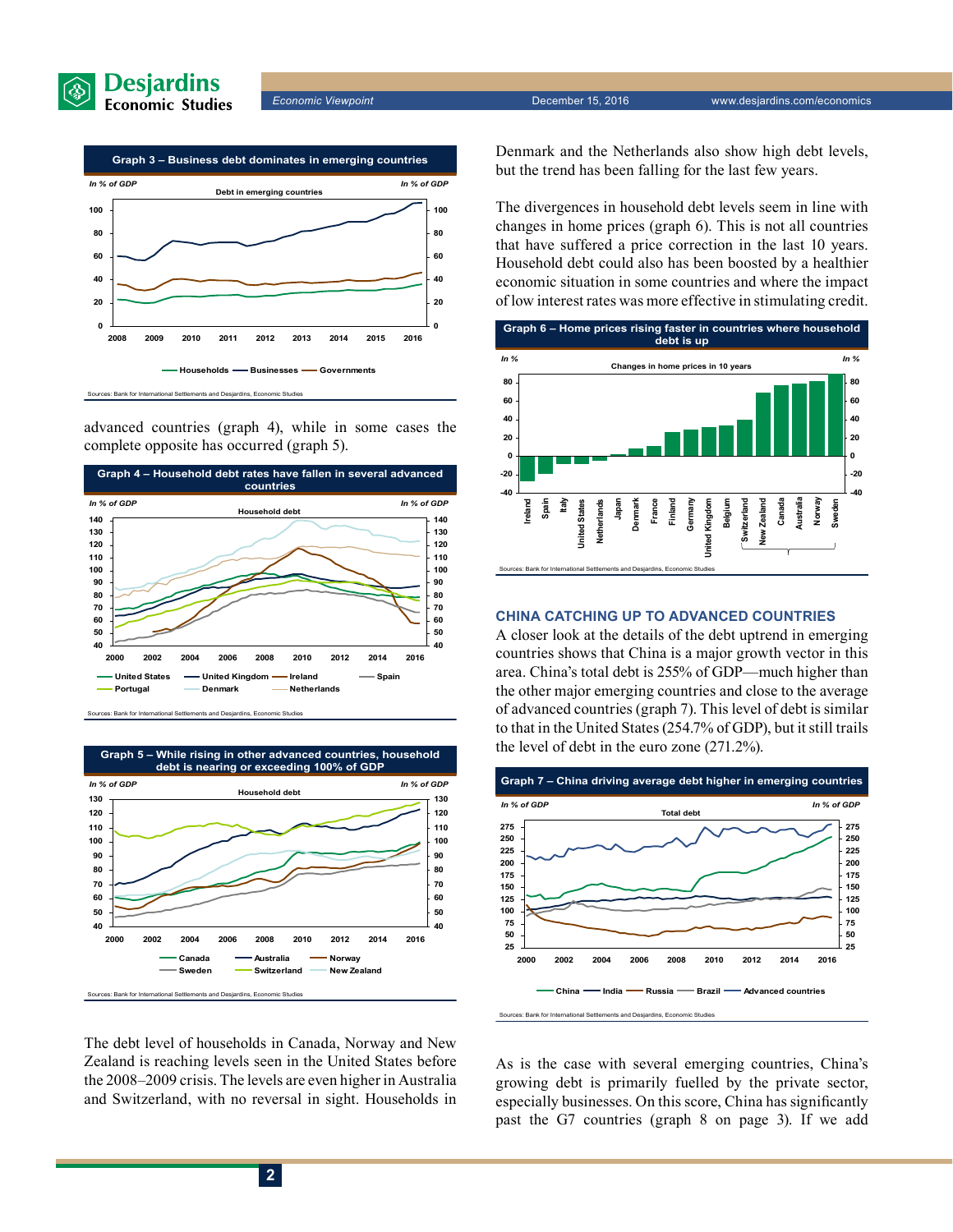



advanced countries (graph 4), while in some cases the complete opposite has occurred (graph 5).



Sources: Bank for International Settlements and Desjardins, Economic Studies



The debt level of households in Canada, Norway and New Zealand is reaching levels seen in the United States before the 2008–2009 crisis. The levels are even higher in Australia and Switzerland, with no reversal in sight. Households in Denmark and the Netherlands also show high debt levels, but the trend has been falling for the last few years.

The divergences in household debt levels seem in line with changes in home prices (graph 6). This is not all countries that have suffered a price correction in the last 10 years. Household debt could also has been boosted by a healthier economic situation in some countries and where the impact of low interest rates was more effective in stimulating credit.



#### **CHINA CATCHING UP TO ADVANCED COUNTRIES**

A closer look at the details of the debt uptrend in emerging countries shows that China is a major growth vector in this area. China's total debt is 255% of GDP—much higher than the other major emerging countries and close to the average of advanced countries (graph 7). This level of debt is similar to that in the United States (254.7% of GDP), but it still trails the level of debt in the euro zone (271.2%).



As is the case with several emerging countries, China's growing debt is primarily fuelled by the private sector, especially businesses. On this score, China has significantly past the G7 countries (graph 8 on page 3). If we add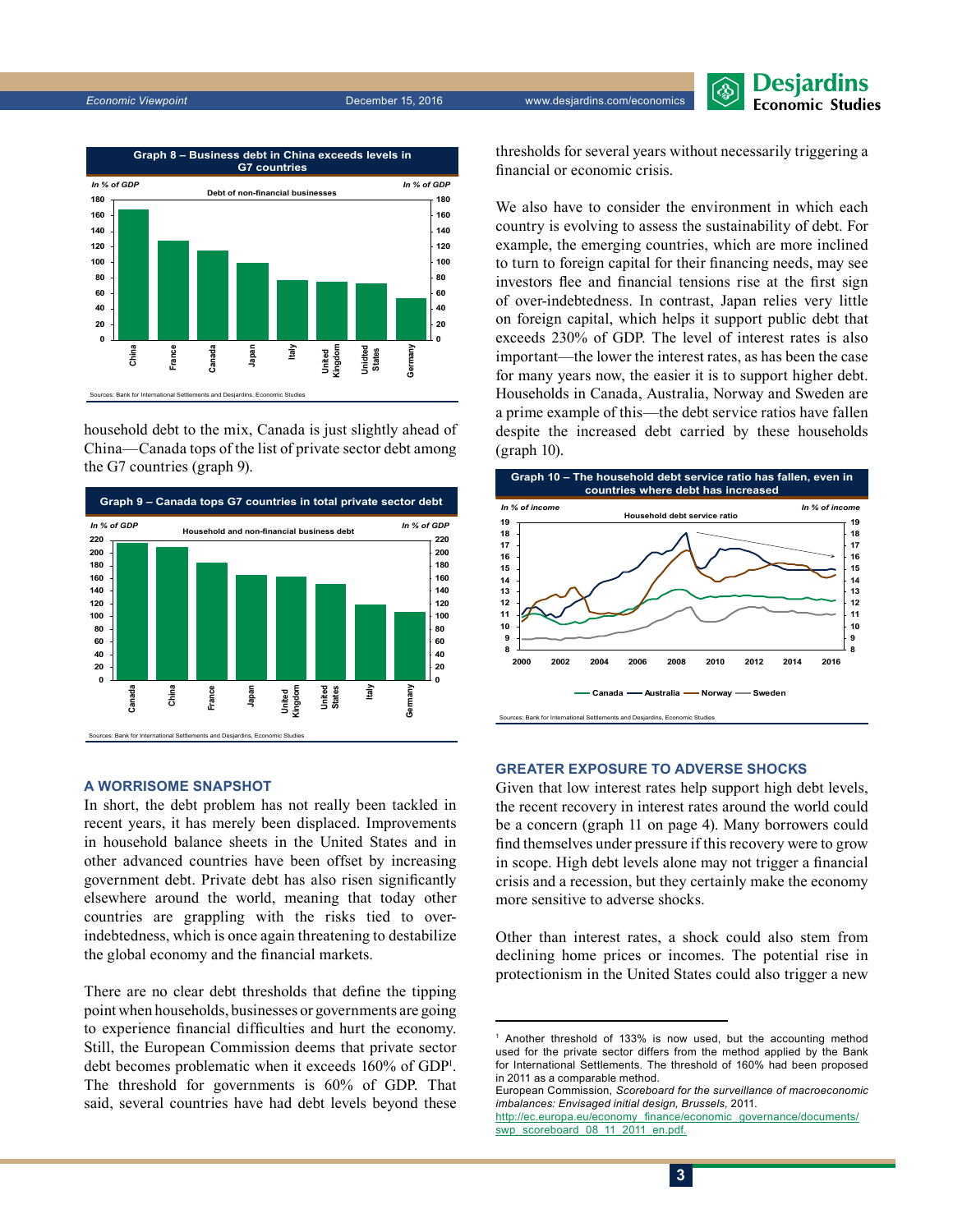





household debt to the mix, Canada is just slightly ahead of China—Canada tops of the list of private sector debt among the G7 countries (graph 9).



#### **A WORRISOME SNAPSHOT**

In short, the debt problem has not really been tackled in recent years, it has merely been displaced. Improvements in household balance sheets in the United States and in other advanced countries have been offset by increasing government debt. Private debt has also risen significantly elsewhere around the world, meaning that today other countries are grappling with the risks tied to overindebtedness, which is once again threatening to destabilize the global economy and the financial markets.

There are no clear debt thresholds that define the tipping point when households, businesses or governments are going to experience financial difficulties and hurt the economy. Still, the European Commission deems that private sector debt becomes problematic when it exceeds 160% of GDP1 . The threshold for governments is 60% of GDP. That said, several countries have had debt levels beyond these

thresholds for several years without necessarily triggering a financial or economic crisis.

We also have to consider the environment in which each country is evolving to assess the sustainability of debt. For example, the emerging countries, which are more inclined to turn to foreign capital for their financing needs, may see investors flee and financial tensions rise at the first sign of over-indebtedness. In contrast, Japan relies very little on foreign capital, which helps it support public debt that exceeds 230% of GDP. The level of interest rates is also important—the lower the interest rates, as has been the case for many years now, the easier it is to support higher debt. Households in Canada, Australia, Norway and Sweden are a prime example of this—the debt service ratios have fallen despite the increased debt carried by these households (graph 10).



#### **GREATER EXPOSURE TO ADVERSE SHOCKS**

Given that low interest rates help support high debt levels, the recent recovery in interest rates around the world could be a concern (graph 11 on page 4). Many borrowers could find themselves under pressure if this recovery were to grow in scope. High debt levels alone may not trigger a financial crisis and a recession, but they certainly make the economy more sensitive to adverse shocks.

Other than interest rates, a shock could also stem from declining home prices or incomes. The potential rise in protectionism in the United States could also trigger a new

<sup>&</sup>lt;sup>1</sup> Another threshold of 133% is now used, but the accounting method used for the private sector differs from the method applied by the Bank for International Settlements. The threshold of 160% had been proposed in 2011 as a comparable method.

European Commission, *Scoreboard for the surveillance of macroeconomic imbalances: Envisaged initial design, Brussels,* 2011. [http://ec.europa.eu/economy\\_finance/economic\\_governance/documents/](http://ec.europa.eu/economy_finance/economic_governance/documents/swp_scoreboard_08_11_2011_en.pdf)

[swp\\_scoreboard\\_08\\_11\\_2011\\_en.pdf.](http://ec.europa.eu/economy_finance/economic_governance/documents/swp_scoreboard_08_11_2011_en.pdf)